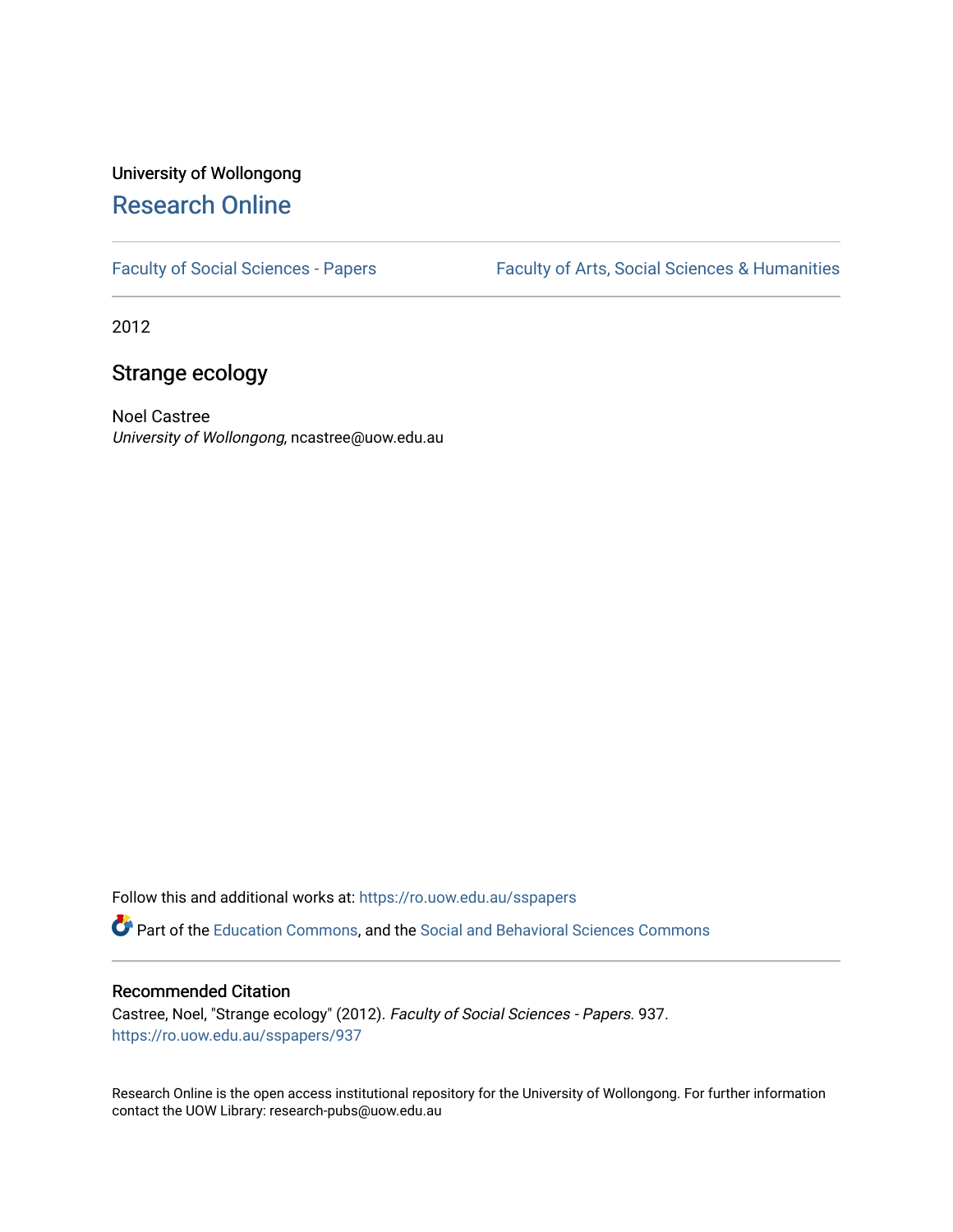# University of Wollongong [Research Online](https://ro.uow.edu.au/)

[Faculty of Social Sciences - Papers](https://ro.uow.edu.au/sspapers) Faculty of Arts, Social Sciences & Humanities

2012

## Strange ecology

Noel Castree University of Wollongong, ncastree@uow.edu.au

Follow this and additional works at: [https://ro.uow.edu.au/sspapers](https://ro.uow.edu.au/sspapers?utm_source=ro.uow.edu.au%2Fsspapers%2F937&utm_medium=PDF&utm_campaign=PDFCoverPages) 

Part of the [Education Commons](http://network.bepress.com/hgg/discipline/784?utm_source=ro.uow.edu.au%2Fsspapers%2F937&utm_medium=PDF&utm_campaign=PDFCoverPages), and the [Social and Behavioral Sciences Commons](http://network.bepress.com/hgg/discipline/316?utm_source=ro.uow.edu.au%2Fsspapers%2F937&utm_medium=PDF&utm_campaign=PDFCoverPages) 

#### Recommended Citation

Castree, Noel, "Strange ecology" (2012). Faculty of Social Sciences - Papers. 937. [https://ro.uow.edu.au/sspapers/937](https://ro.uow.edu.au/sspapers/937?utm_source=ro.uow.edu.au%2Fsspapers%2F937&utm_medium=PDF&utm_campaign=PDFCoverPages) 

Research Online is the open access institutional repository for the University of Wollongong. For further information contact the UOW Library: research-pubs@uow.edu.au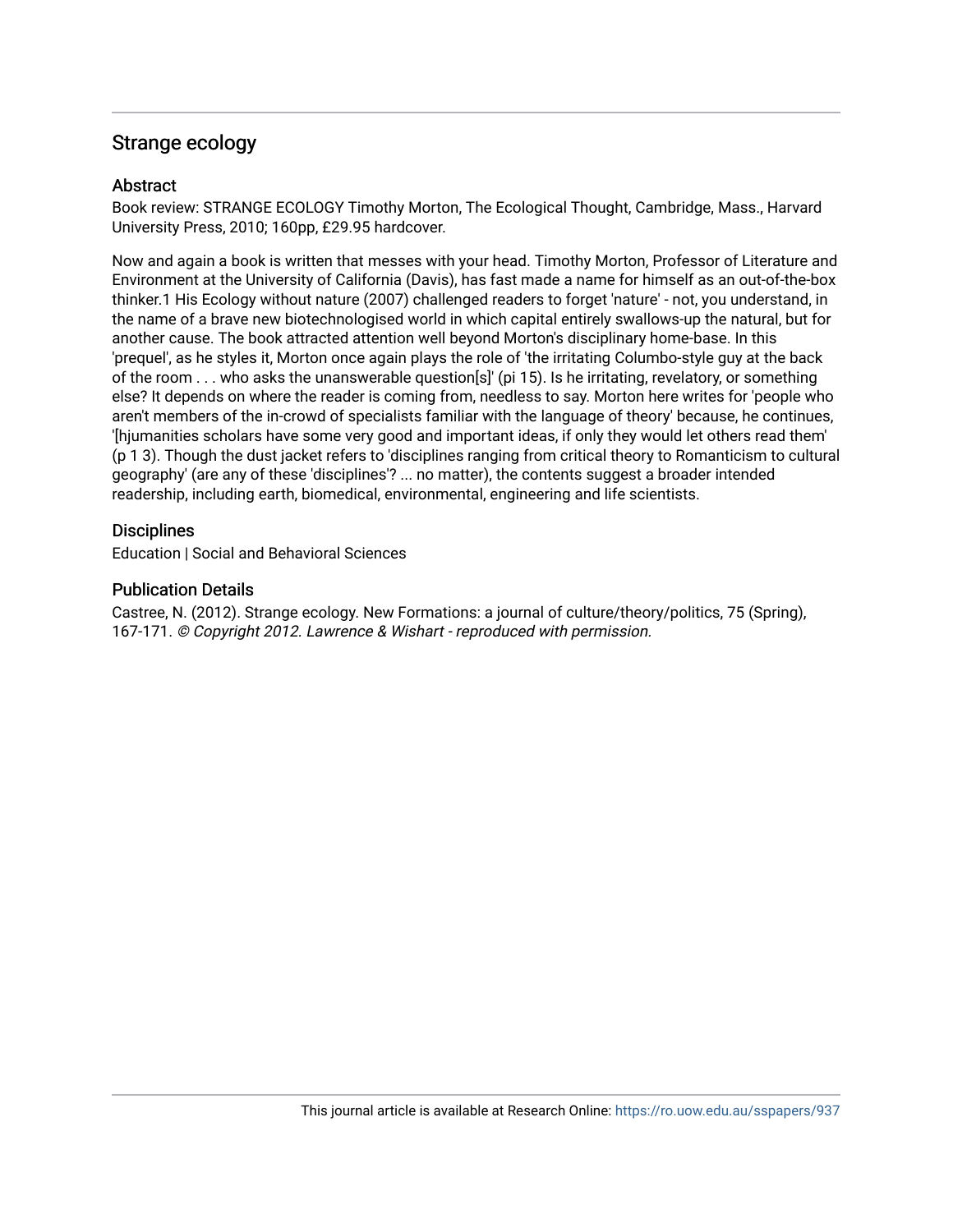## Strange ecology

### Abstract

Book review: STRANGE ECOLOGY Timothy Morton, The Ecological Thought, Cambridge, Mass., Harvard University Press, 2010; 160pp, £29.95 hardcover.

Now and again a book is written that messes with your head. Timothy Morton, Professor of Literature and Environment at the University of California (Davis), has fast made a name for himself as an out-of-the-box thinker.1 His Ecology without nature (2007) challenged readers to forget 'nature' - not, you understand, in the name of a brave new biotechnologised world in which capital entirely swallows-up the natural, but for another cause. The book attracted attention well beyond Morton's disciplinary home-base. In this 'prequel', as he styles it, Morton once again plays the role of 'the irritating Columbo-style guy at the back of the room . . . who asks the unanswerable question[s]' (pi 15). Is he irritating, revelatory, or something else? It depends on where the reader is coming from, needless to say. Morton here writes for 'people who aren't members of the in-crowd of specialists familiar with the language of theory' because, he continues, '[hjumanities scholars have some very good and important ideas, if only they would let others read them' (p 1 3). Though the dust jacket refers to 'disciplines ranging from critical theory to Romanticism to cultural geography' (are any of these 'disciplines'? ... no matter), the contents suggest a broader intended readership, including earth, biomedical, environmental, engineering and life scientists.

### **Disciplines**

Education | Social and Behavioral Sciences

#### Publication Details

Castree, N. (2012). Strange ecology. New Formations: a journal of culture/theory/politics, 75 (Spring), 167-171. © Copyright 2012. Lawrence & Wishart - reproduced with permission.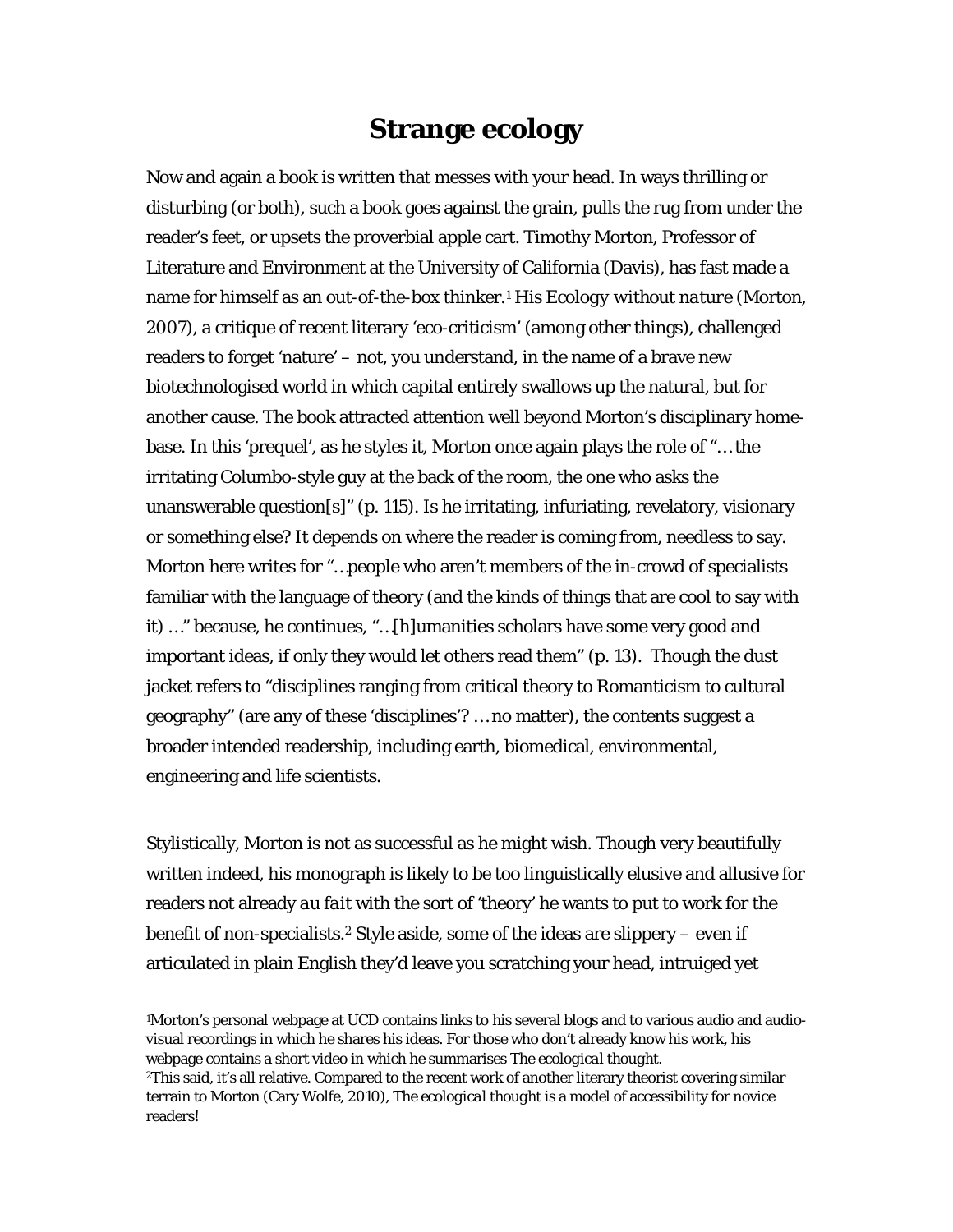# **Strange ecology**

Now and again a book is written that messes with your head. In ways thrilling or disturbing (or both), such a book goes against the grain, pulls the rug from under the reader's feet, or upsets the proverbial apple cart. Timothy Morton, Professor of Literature and Environment at the University of California (Davis), has fast made a name for himself as an out-of-the-box thinker.1 His *Ecology without nature* (Morton, 2007), a critique of recent literary 'eco-criticism' (among other things), challenged readers to forget 'nature' – not, you understand, in the name of a brave new biotechnologised world in which capital entirely swallows up the natural, but for another cause. The book attracted attention well beyond Morton's disciplinary homebase. In this 'prequel', as he styles it, Morton once again plays the role of "… the irritating Columbo-style guy at the back of the room, the one who asks the unanswerable question[s]" (p. 115). Is he irritating, infuriating, revelatory, visionary or something else? It depends on where the reader is coming from, needless to say. Morton here writes for "…people who aren't members of the in-crowd of specialists familiar with the language of theory (and the kinds of things that are cool to say with it) …" because, he continues, "…[h]umanities scholars have some very good and important ideas, if only they would let others read them" (p. 13). Though the dust jacket refers to "disciplines ranging from critical theory to Romanticism to cultural geography" (are any of these 'disciplines'? … no matter), the contents suggest a broader intended readership, including earth, biomedical, environmental, engineering and life scientists.

Stylistically, Morton is not as successful as he might wish. Though very beautifully written indeed, his monograph is likely to be too linguistically elusive and allusive for readers not already *au fait* with the sort of 'theory' he wants to put to work for the benefit of non-specialists.2 Style aside, some of the ideas are slippery – even if articulated in plain English they'd leave you scratching your head, intruiged yet

1Morton's personal webpage at UCD contains links to his several blogs and to various audio and audiovisual recordings in which he shares his ideas. For those who don't already know his work, his webpage contains a short video in which he summarises *The ecological thought*.

<sup>2</sup>This said, it's all relative. Compared to the recent work of another literary theorist covering similar terrain to Morton (Cary Wolfe, 2010), *The ecological thought* is a model of accessibility for novice readers!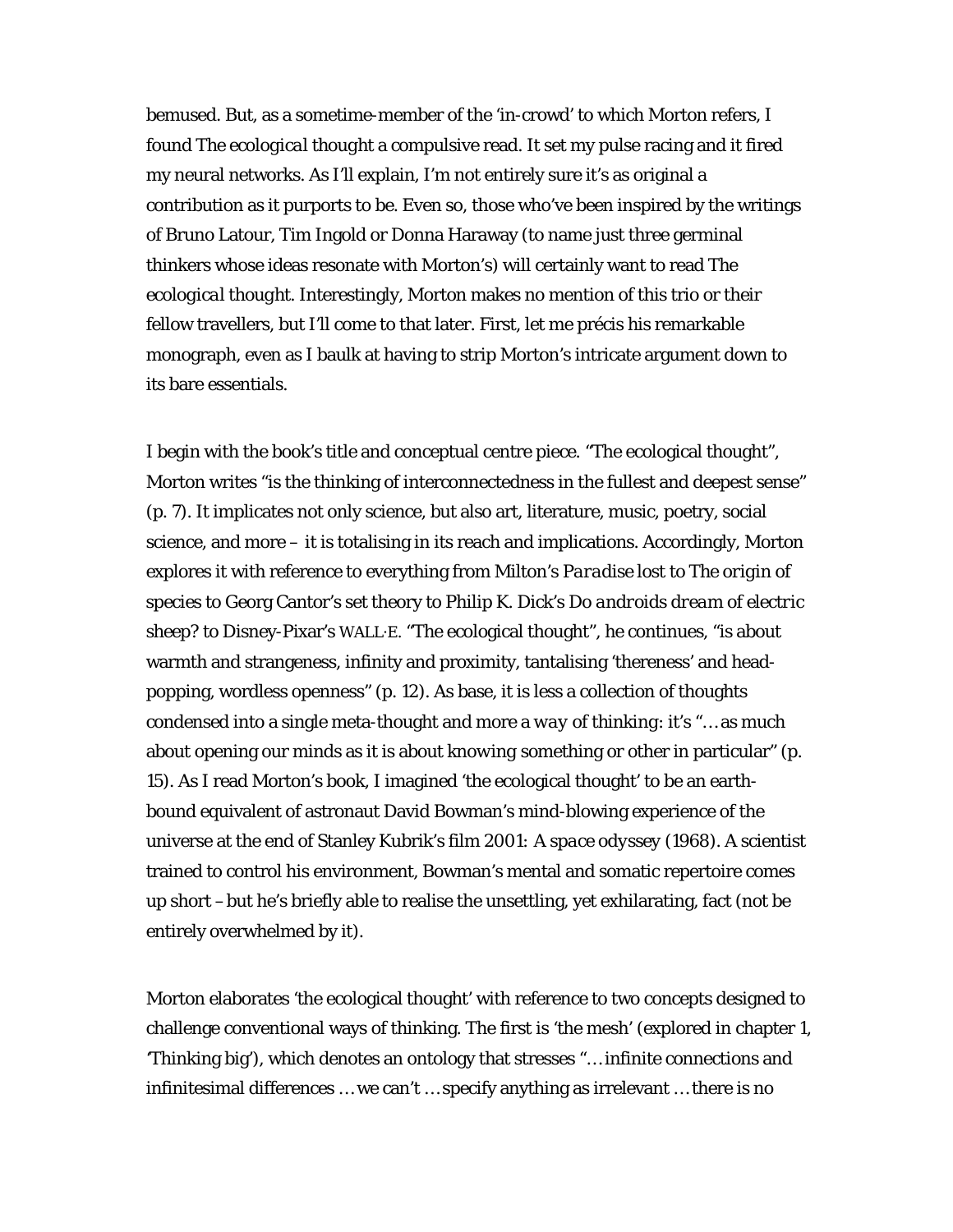bemused. But, as a sometime-member of the 'in-crowd' to which Morton refers, I found *The ecological thought* a compulsive read. It set my pulse racing and it fired my neural networks. As I'll explain, I'm not entirely sure it's as original a contribution as it purports to be. Even so, those who've been inspired by the writings of Bruno Latour, Tim Ingold or Donna Haraway (to name just three germinal thinkers whose ideas resonate with Morton's) will certainly want to read *The ecological thought*. Interestingly, Morton makes no mention of this trio or their fellow travellers, but I'll come to that later. First, let me précis his remarkable monograph, even as I baulk at having to strip Morton's intricate argument down to its bare essentials.

I begin with the book's title and conceptual centre piece. "The ecological thought", Morton writes "is the thinking of interconnectedness in the fullest and deepest sense" (p. 7). It implicates not only science, but also art, literature, music, poetry, social science, and more – it is totalising in its reach and implications. Accordingly, Morton explores it with reference to everything from Milton's *Paradise lost* to *The origin of species* to Georg Cantor's set theory to Philip K. Dick's *Do androids dream of electric sheep?* to Disney-Pixar's *WALL·E*. "The ecological thought", he continues, "is about warmth and strangeness, infinity and proximity, tantalising 'thereness' and headpopping, wordless openness" (p. 12). As base, it is less a collection of thoughts condensed into a single meta-thought and more a *way of thinking*: it's "… as much about opening our minds as it is about *knowing* something or other in particular" (p. 15). As I read Morton's book, I imagined 'the ecological thought' to be an earthbound equivalent of astronaut David Bowman's mind-blowing experience of the universe at the end of Stanley Kubrik's film *2001: A space odyssey* (1968). A scientist trained to control his environment, Bowman's mental and somatic repertoire comes up short –but he's briefly able to realise the unsettling, yet exhilarating, fact (not be entirely overwhelmed by it).

Morton elaborates 'the ecological thought' with reference to two concepts designed to challenge conventional ways of thinking. The first is 'the mesh' (explored in chapter 1, 'Thinking big'), which denotes an ontology that stresses "… infinite connections and infinitesimal differences … we can't … specify anything as irrelevant … there is no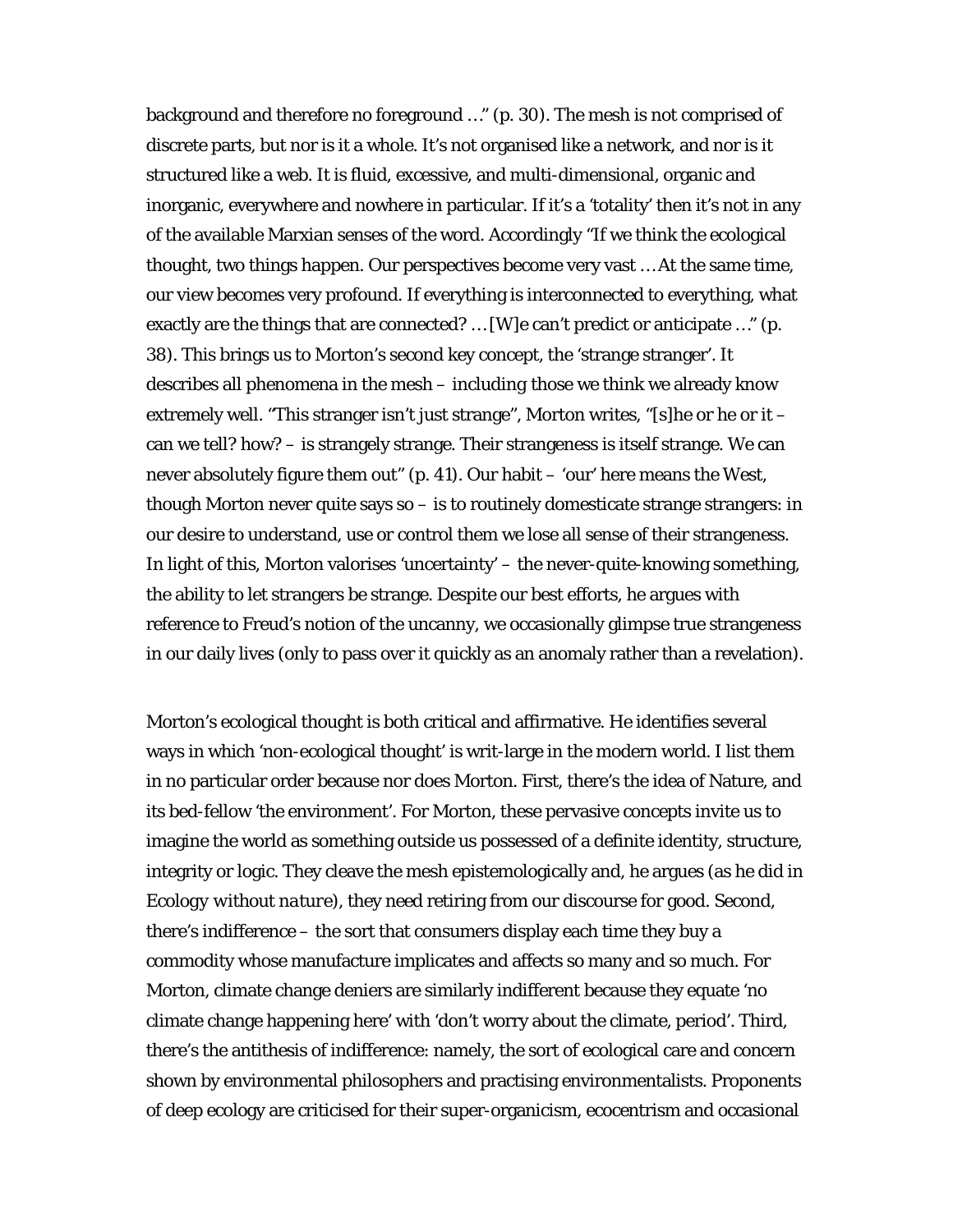background and therefore no foreground …" (p. 30). The mesh is not comprised of discrete parts, but nor is it a whole. It's not organised like a network, and nor is it structured like a web. It is fluid, excessive, and multi-dimensional, organic and inorganic, everywhere and nowhere in particular. If it's a 'totality' then it's not in any of the available Marxian senses of the word. Accordingly "If we think the ecological thought, two things happen. Our perspectives become very vast … At the same time, our view becomes very profound. If everything is interconnected to everything, what exactly are the things that are connected? … [W]e can't predict or anticipate …" (p. 38). This brings us to Morton's second key concept, the 'strange stranger'. It describes all phenomena in the mesh – *including* those we think we already know extremely well. "This stranger isn't just strange", Morton writes, "[s]he or he or it – can we tell? how? – is strangely strange. Their strangeness is itself strange. We can never absolutely figure them out" (p. 41). Our habit – 'our' here means the West, though Morton never quite says so – is to routinely domesticate strange strangers: in our desire to understand, use or control them we lose all sense of their strangeness. In light of this, Morton valorises 'uncertainty' – the never-quite-knowing something, the ability to let strangers be strange. Despite our best efforts, he argues with reference to Freud's notion of the uncanny, we occasionally glimpse true strangeness in our daily lives (only to pass over it quickly as an anomaly rather than a revelation).

Morton's ecological thought is both critical and affirmative. He identifies several ways in which 'non-ecological thought' is writ-large in the modern world. I list them in no particular order because nor does Morton. First, there's the idea of Nature, and its bed-fellow 'the environment'. For Morton, these pervasive concepts invite us to imagine the world as something outside us possessed of a definite identity, structure, integrity or logic. They cleave the mesh epistemologically and, he argues (as he did in *Ecology without nature)*, they need retiring from our discourse for good. Second, there's indifference – the sort that consumers display each time they buy a commodity whose manufacture implicates and affects so many and so much. For Morton, climate change deniers are similarly indifferent because they equate 'no climate change happening here' with 'don't worry about the climate, period'. Third, there's the antithesis of indifference: namely, the sort of ecological care and concern shown by environmental philosophers and practising environmentalists. Proponents of deep ecology are criticised for their super-organicism, ecocentrism and occasional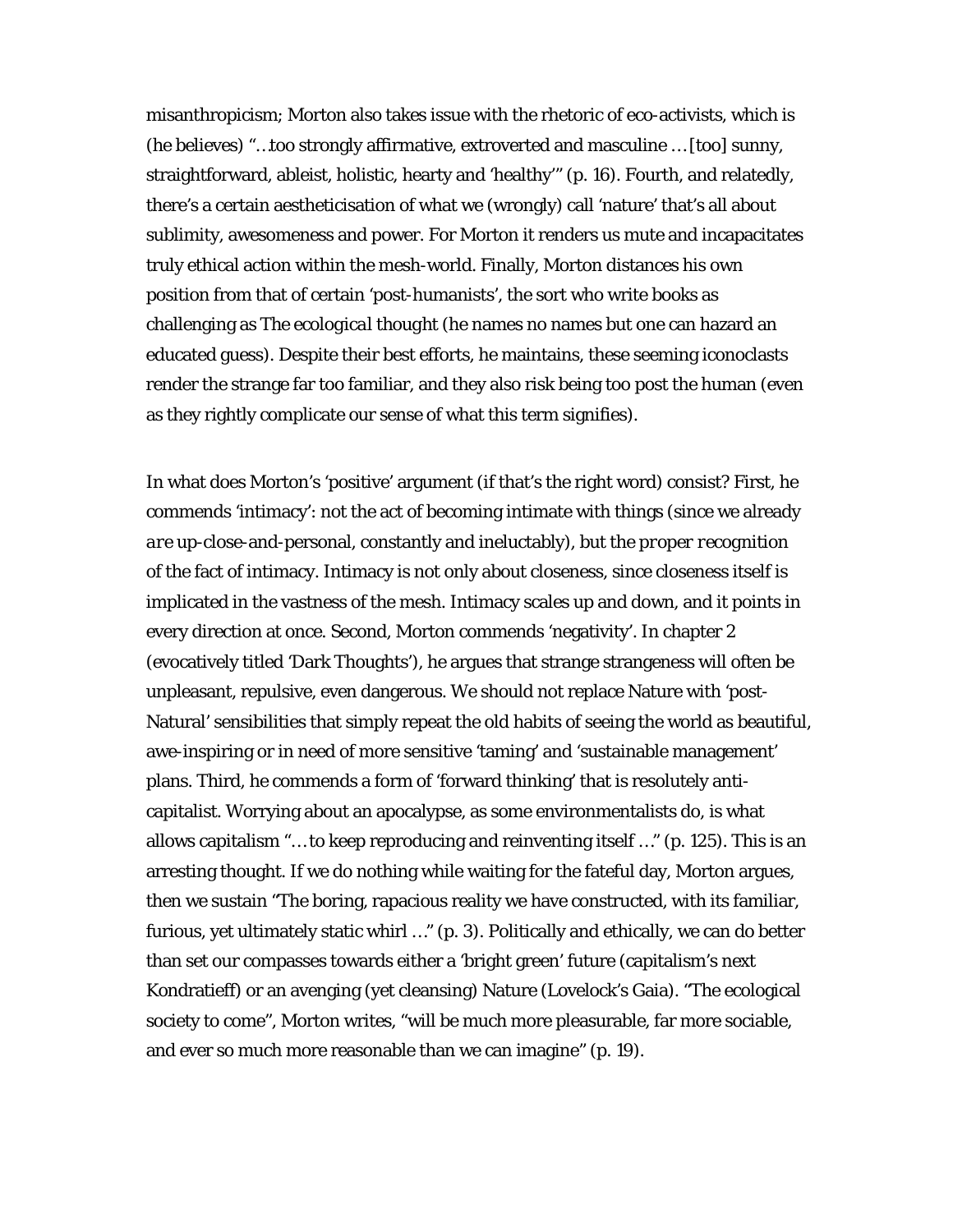misanthropicism; Morton also takes issue with the rhetoric of eco-activists, which is (he believes) "…too strongly affirmative, extroverted and masculine … [too] sunny, straightforward, ableist, holistic, hearty and 'healthy'" (p. 16). Fourth, and relatedly, there's a certain aestheticisation of what we (wrongly) call 'nature' that's all about sublimity, awesomeness and power. For Morton it renders us mute and incapacitates truly ethical action within the mesh-world. Finally, Morton distances his own position from that of certain 'post-humanists', the sort who write books as challenging as *The ecological thought* (he names no names but one can hazard an educated guess). Despite their best efforts, he maintains, these seeming iconoclasts render the strange far too familiar, and they also risk being too *post* the human (even as they rightly complicate our sense of what this term signifies).

In what does Morton's 'positive' argument (if that's the right word) consist? First, he commends 'intimacy': not the act of becoming intimate with things (since we already *are* up-close-and-personal, constantly and ineluctably), but the *proper recognition* of the fact of intimacy. Intimacy is not only about closeness, since closeness itself is implicated in the vastness of the mesh. Intimacy scales up and down, and it points in every direction at once. Second, Morton commends 'negativity'. In chapter 2 (evocatively titled 'Dark Thoughts'), he argues that strange strangeness will often be unpleasant, repulsive, even dangerous. We should not replace Nature with 'post-Natural' sensibilities that simply repeat the old habits of seeing the world as beautiful, awe-inspiring or in need of more sensitive 'taming' and 'sustainable management' plans. Third, he commends a form of 'forward thinking' that is resolutely anticapitalist. Worrying about an apocalypse, as some environmentalists do, is what allows capitalism "… to keep reproducing and reinventing itself …" (p. 125). This is an arresting thought. If we do nothing while waiting for the fateful day, Morton argues, then we sustain "The boring, rapacious reality we have constructed, with its familiar, furious, yet ultimately static whirl …" (p. 3). Politically and ethically, we can do better than set our compasses towards either a 'bright green' future (capitalism's next Kondratieff) or an avenging (yet cleansing) Nature (Lovelock's Gaia). "The ecological society to come", Morton writes, "will be much more pleasurable, far more sociable, and ever so much more reasonable than we can imagine" (p. 19).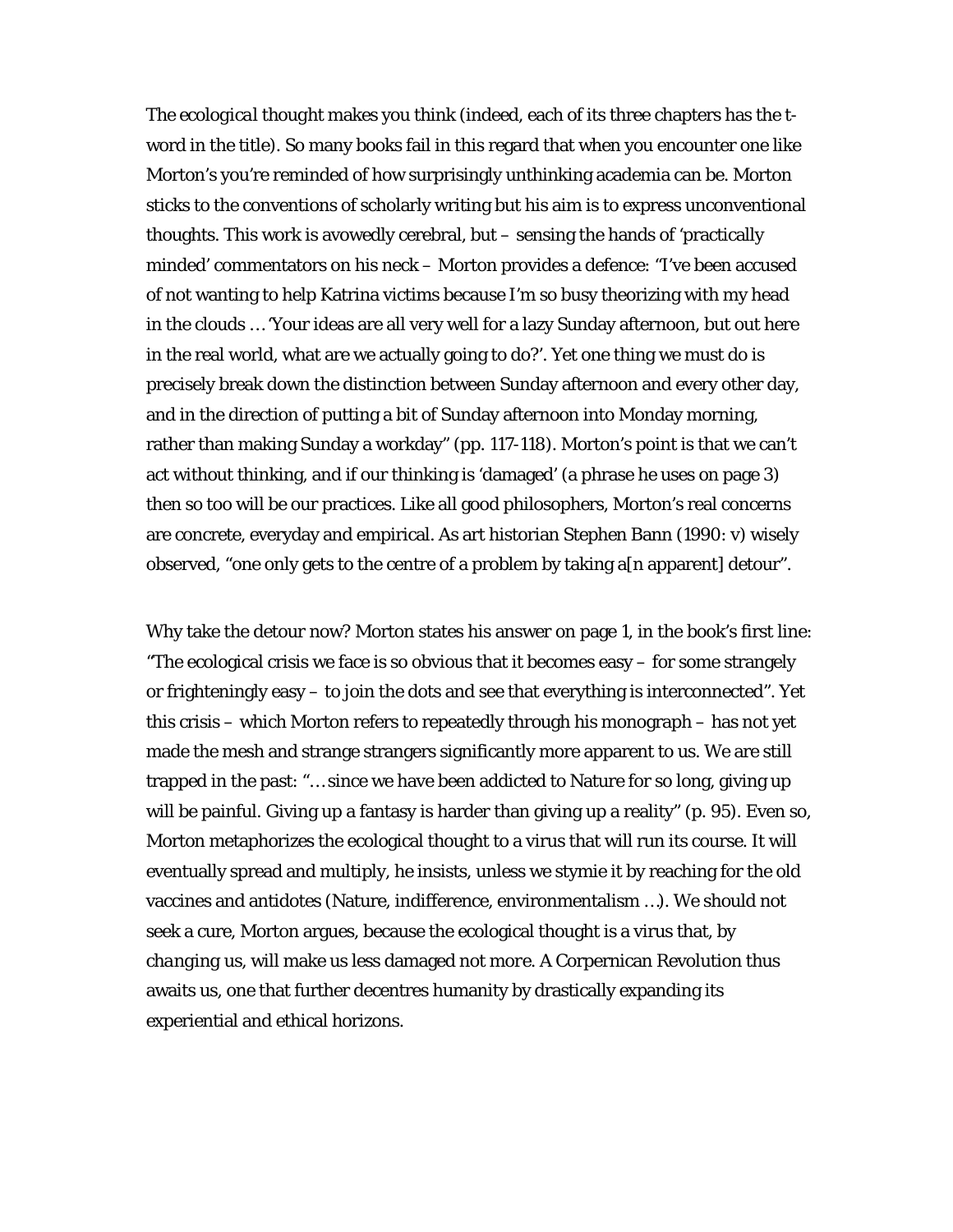*The ecological thought* makes you *think* (indeed, each of its three chapters has the tword in the title). So many books fail in this regard that when you encounter one like Morton's you're reminded of how surprisingly unthinking academia can be. Morton sticks to the conventions of scholarly writing but his aim is to express unconventional thoughts. This work is avowedly cerebral, but – sensing the hands of 'practically minded' commentators on his neck – Morton provides a defence: "I've been accused of not wanting to help Katrina victims because I'm so busy theorizing with my head in the clouds … 'Your ideas are all very well for a lazy Sunday afternoon, but out here in the real world, what are we actually going to do?'. Yet one thing we must do is precisely break down the distinction between Sunday afternoon and every other day, and in the direction of putting a bit of Sunday afternoon into Monday morning, rather than making Sunday a workday" (pp. 117-118). Morton's point is that we can't act without thinking, and if our thinking is 'damaged' (a phrase he uses on page 3) then so too will be our practices. Like all good philosophers, Morton's real concerns are concrete, everyday and empirical. As art historian Stephen Bann (1990: v) wisely observed, "one only gets to the centre of a problem by taking a[n apparent] detour".

Why take the detour now? Morton states his answer on page 1, in the book's first line: "The ecological crisis we face is so obvious that it becomes easy – for some strangely or frighteningly easy – to join the dots and see that everything is interconnected". Yet this crisis – which Morton refers to repeatedly through his monograph – has not yet made the mesh and strange strangers significantly more apparent to us. We are still trapped in the past: "… since we have been addicted to Nature for so long, giving up will be painful. Giving up a fantasy is harder than giving up a reality" (p. 95). Even so, Morton metaphorizes the ecological thought to a virus that will run its course. It will eventually spread and multiply, he insists, unless we stymie it by reaching for the old vaccines and antidotes (Nature, indifference, environmentalism …). We should not seek a cure, Morton argues, because the ecological thought is a virus that, by *changing* us, will make us *less* damaged not *more*. A Corpernican Revolution thus awaits us, one that further decentres humanity by drastically expanding its experiential and ethical horizons.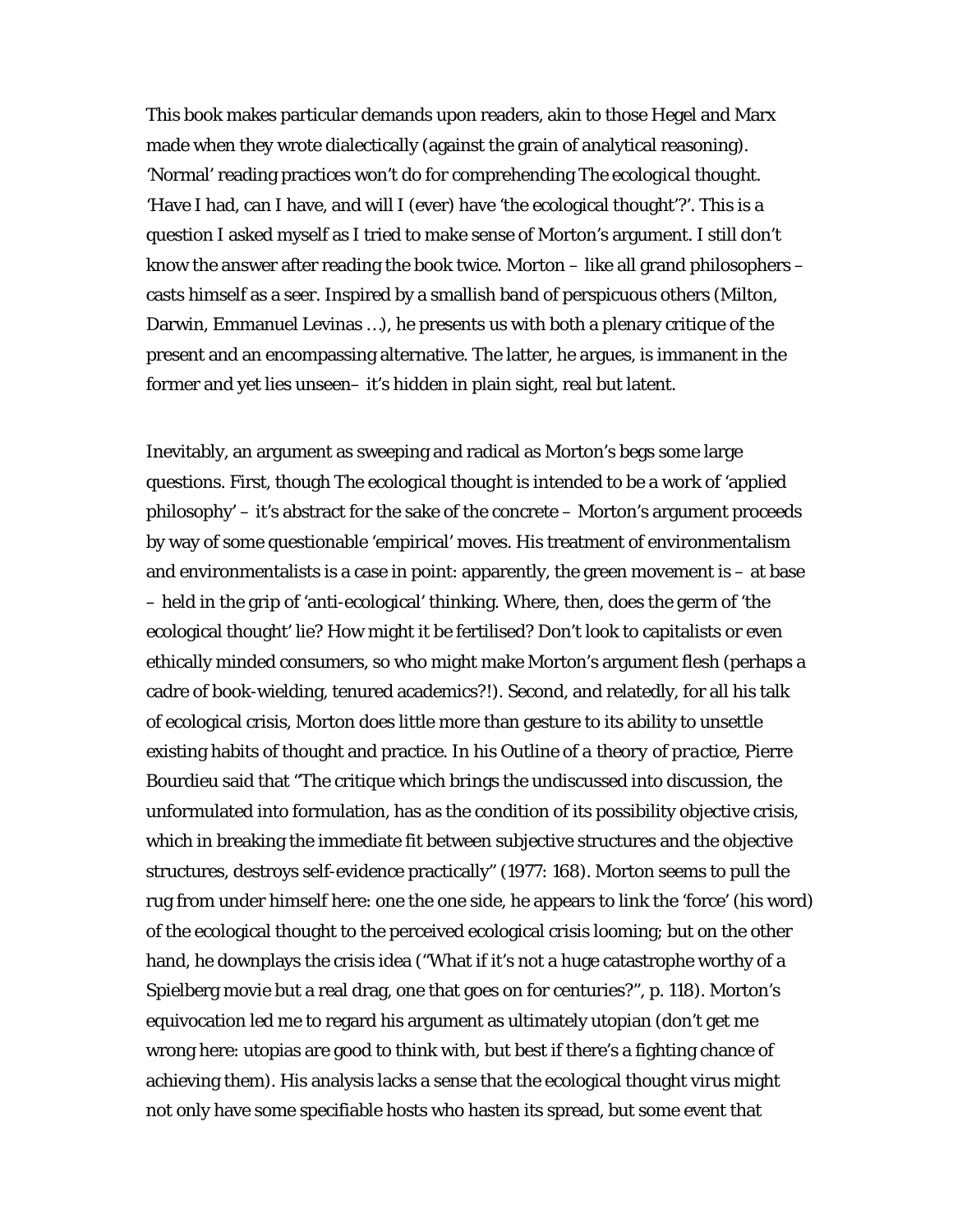This book makes particular demands upon readers, akin to those Hegel and Marx made when they wrote dialectically (against the grain of analytical reasoning). 'Normal' reading practices won't do for comprehending *The ecological thought*. 'Have I had, can I have, and will I (ever) have 'the ecological thought'?'. This is a question I asked myself as I tried to make sense of Morton's argument. I still don't know the answer after reading the book twice. Morton – like all grand philosophers – casts himself as a seer. Inspired by a smallish band of perspicuous others (Milton, Darwin, Emmanuel Levinas …), he presents us with both a plenary critique of the present and an encompassing alternative. The latter, he argues, is immanent in the former and yet lies unseen– it's hidden in plain sight, real but latent.

Inevitably, an argument as sweeping and radical as Morton's begs some large questions. First, though *The ecological thought* is intended to be a work of 'applied philosophy' – it's abstract for the sake of the concrete – Morton's argument proceeds by way of some questionable 'empirical' moves. His treatment of environmentalism and environmentalists is a case in point: apparently, the green movement is  $-$  at base – held in the grip of 'anti-ecological' thinking. Where, then, does the germ of 'the ecological thought' lie? How might it be fertilised? Don't look to capitalists or even ethically minded consumers, so who might make Morton's argument flesh (perhaps a cadre of book-wielding, tenured academics?!). Second, and relatedly, for all his talk of ecological crisis, Morton does little more than gesture to its ability to unsettle existing habits of thought and practice. In his *Outline of a theory of practice*, Pierre Bourdieu said that "The critique which brings the undiscussed into discussion, the unformulated into formulation, has as the condition of its possibility objective crisis, which in breaking the immediate fit between subjective structures and the objective structures, destroys self-evidence practically" (1977: 168). Morton seems to pull the rug from under himself here: one the one side, he appears to link the 'force' (his word) of the ecological thought to the perceived ecological crisis looming; but on the other hand, he downplays the crisis idea ("What if it's not a huge catastrophe worthy of a Spielberg movie but a real drag, one that goes on for centuries?", p. 118). Morton's equivocation led me to regard his argument as ultimately utopian (don't get me wrong here: utopias are good to think with, but best if there's a fighting chance of achieving them). His analysis lacks a sense that the ecological thought virus might not only have some specifiable hosts who hasten its spread, but some event that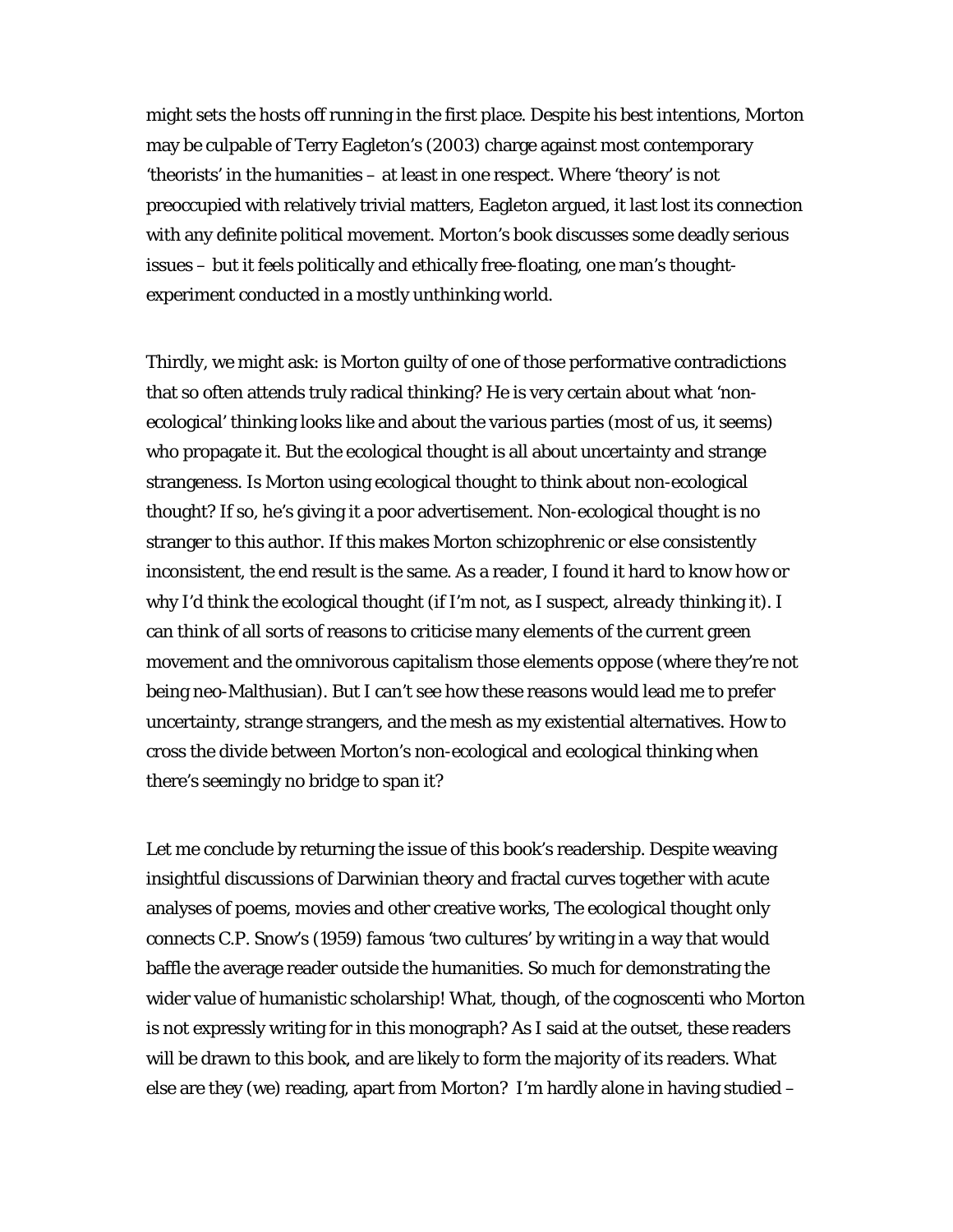might sets the hosts off running in the first place. Despite his best intentions, Morton may be culpable of Terry Eagleton's (2003) charge against most contemporary 'theorists' in the humanities – at least in one respect. Where 'theory' is not preoccupied with relatively trivial matters, Eagleton argued, it last lost its connection with any definite political movement. Morton's book discusses some deadly serious issues – but it feels politically and ethically free-floating, one man's thoughtexperiment conducted in a mostly unthinking world.

Thirdly, we might ask: is Morton guilty of one of those performative contradictions that so often attends truly radical thinking? He is very certain about what 'nonecological' thinking looks like and about the various parties (most of us, it seems) who propagate it. But the ecological thought is all about uncertainty and strange strangeness. Is Morton using ecological thought to think about non-ecological thought? If so, he's giving it a poor advertisement. Non-ecological thought is no stranger to this author. If this makes Morton schizophrenic or else consistently inconsistent, the end result is the same. As a reader, I found it hard to know how or why I'd think the ecological thought (if I'm not, as I suspect, *already* thinking it). I can think of all sorts of reasons to criticise many elements of the current green movement and the omnivorous capitalism those elements oppose (where they're not being neo-Malthusian). But I can't see how these reasons would lead me to prefer uncertainty, strange strangers, and the mesh as my existential alternatives. How to cross the divide between Morton's non-ecological and ecological thinking when there's seemingly no bridge to span it?

Let me conclude by returning the issue of this book's readership. Despite weaving insightful discussions of Darwinian theory and fractal curves together with acute analyses of poems, movies and other creative works, *The ecological thought* only connects C.P. Snow's (1959) famous 'two cultures' by writing in a way that would baffle the average reader outside the humanities. So much for demonstrating the wider value of humanistic scholarship! What, though, of the cognoscenti who Morton is not expressly writing for in this monograph? As I said at the outset, these readers will be drawn to this book, and are likely to form the majority of its readers. What else are they (we) reading, apart from Morton? I'm hardly alone in having studied –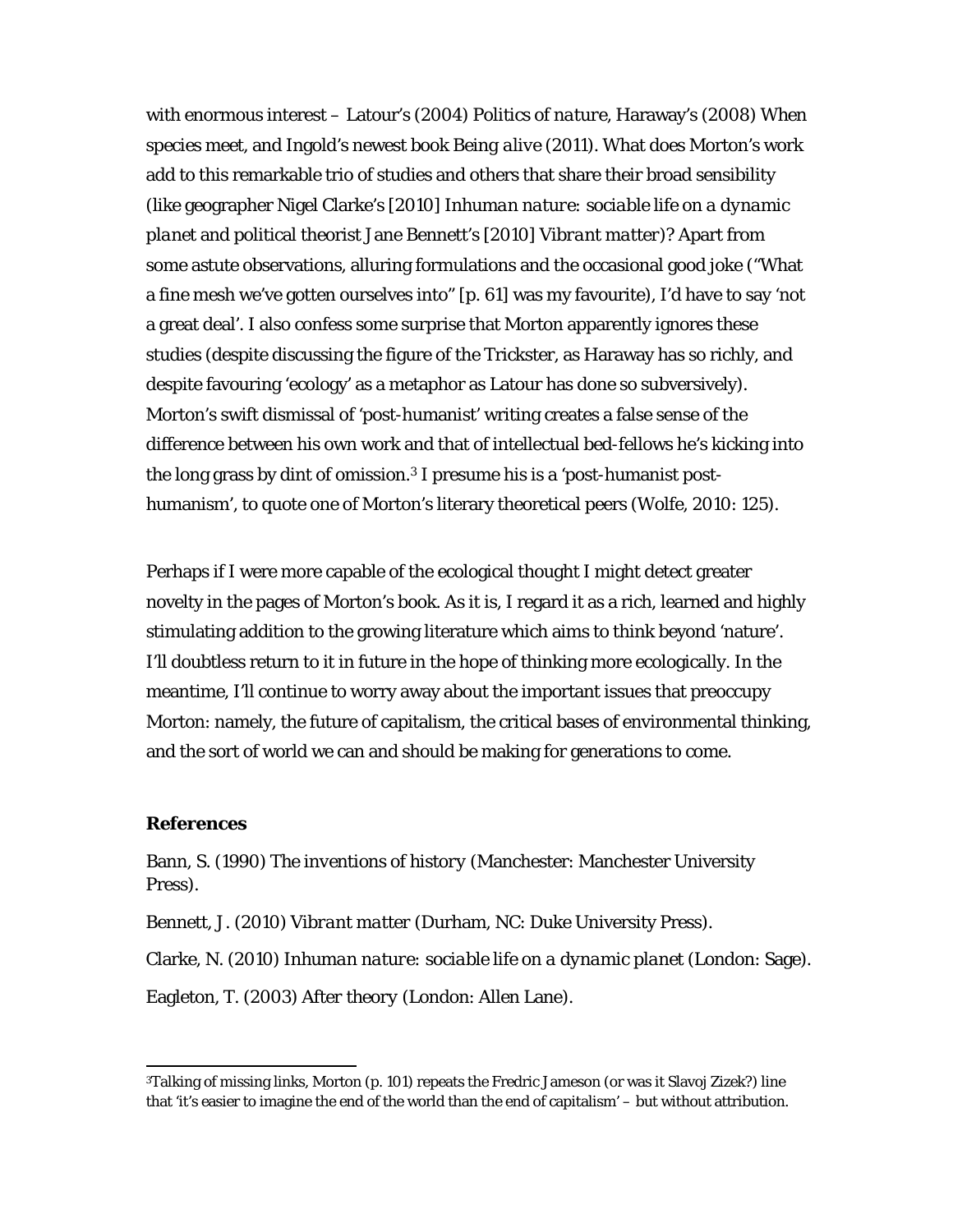with enormous interest – Latour's (2004) *Politics of nature*, Haraway's (2008) *When species meet,* and Ingold's newest book *Being alive* (2011). What does Morton's work add to this remarkable trio of studies and others that share their broad sensibility (like geographer Nigel Clarke's [2010] *Inhuman nature: sociable life on a dynamic planet* and political theorist Jane Bennett's [2010] *Vibrant matter*)? Apart from some astute observations, alluring formulations and the occasional good joke ("What a fine mesh we've gotten ourselves into" [p. 61] was my favourite), I'd have to say 'not a great deal'. I also confess some surprise that Morton apparently ignores these studies (despite discussing the figure of the Trickster, as Haraway has so richly, and despite favouring 'ecology' as a metaphor as Latour has done so subversively). Morton's swift dismissal of 'post-humanist' writing creates a false sense of the difference between his own work and that of intellectual bed-fellows he's kicking into the long grass by dint of omission.3 I presume his is a 'post-humanist posthumanism', to quote one of Morton's literary theoretical peers (Wolfe, 2010: 125).

Perhaps if I were more capable of the ecological thought I might detect greater novelty in the pages of Morton's book. As it is, I regard it as a rich, learned and highly stimulating addition to the growing literature which aims to think beyond 'nature'. I'll doubtless return to it in future in the hope of thinking more ecologically. In the meantime, I'll continue to worry away about the important issues that preoccupy Morton: namely, the future of capitalism, the critical bases of environmental thinking, and the sort of world we can and should be making for generations to come.

#### **References**

Bann, S. (1990) *The inventions of history* (Manchester: Manchester University Press).

Bennett, J. (2010) *Vibrant matter* (Durham, NC: Duke University Press).

Clarke, N. (2010) *Inhuman nature: sociable life on a dynamic planet* (London: Sage).

Eagleton, T. (2003) *After theory* (London: Allen Lane).

<sup>3</sup>Talking of missing links, Morton (p. 101) repeats the Fredric Jameson (or was it Slavoj Zizek?) line that 'it's easier to imagine the end of the world than the end of capitalism' – but without attribution.